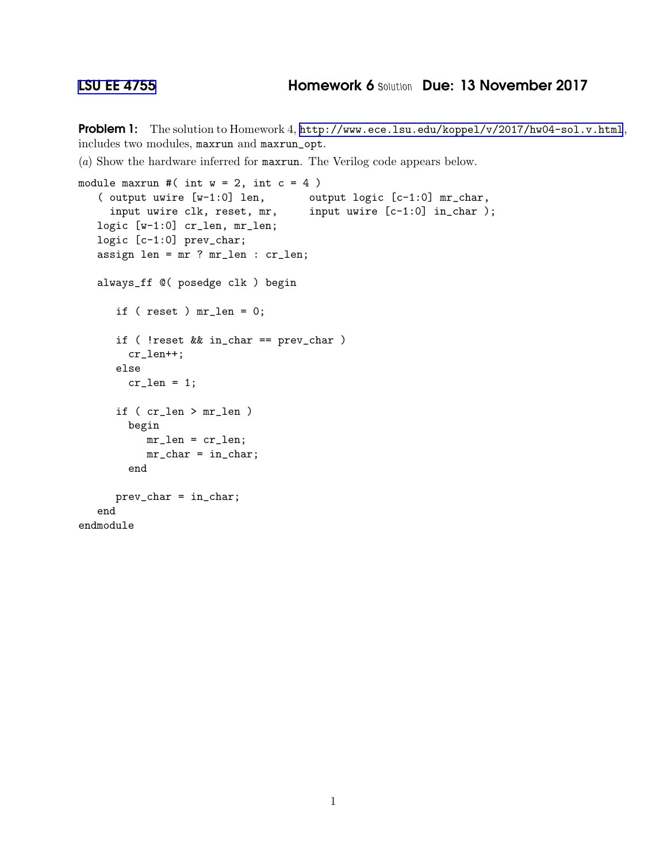Problem 1: The solution to Homework 4, <http://www.ece.lsu.edu/koppel/v/2017/hw04-sol.v.html>, includes two modules, maxrun and maxrun\_opt.

(*a*) Show the hardware inferred for maxrun. The Verilog code appears below.

```
module maxrun #( int w = 2, int c = 4)
   ( output uwire [w-1:0] len, output logic [c-1:0] mr_char,
     input uwire clk, reset, mr, input uwire [c-1:0] in_char );
   logic [w-1:0] cr_len, mr_len;
   logic [c-1:0] prev_char;
   assign len = mr ? mr_len : cr_len;
   always_ff @( posedge clk ) begin
      if ( reset ) mr_len = 0;
      if ( !reset && in_char == prev_char )
       cr_len++;
      else
        cr\_len = 1;if ( cr_len > mr_len )
        begin
          mr_len = cr_len;
          mr_{char} = in_char;
        end
     prev_char = in_char;
   end
endmodule
```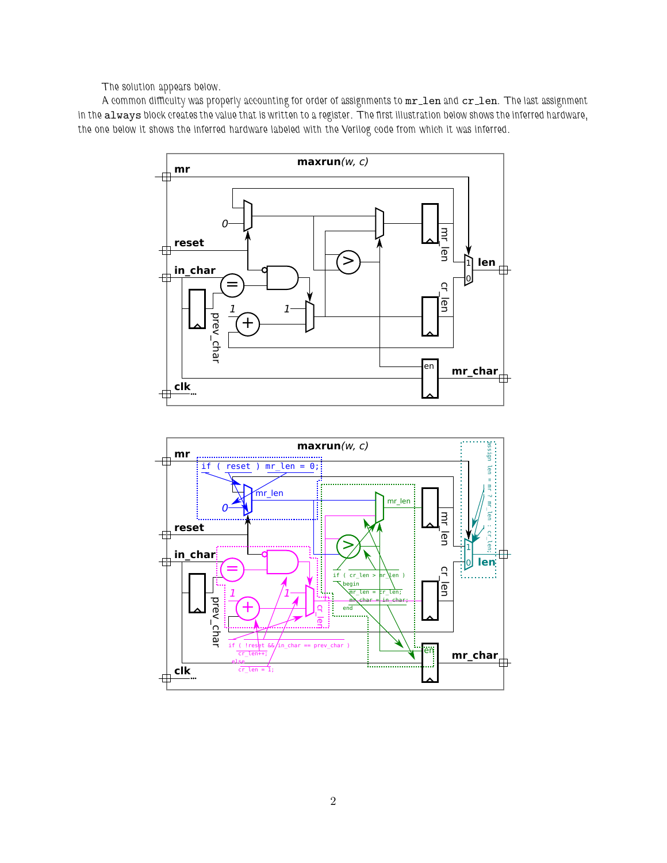The solution appears below.

A common difficulty was properly accounting for order of assignments to  $mr\_len$  and  $cr\_len$ . The last assignment in the always block creates the value that is written to a register. The first illustration below shows the inferred hardware, the one below it shows the inferred hardware labeled with the Verilog code from which it was inferred.



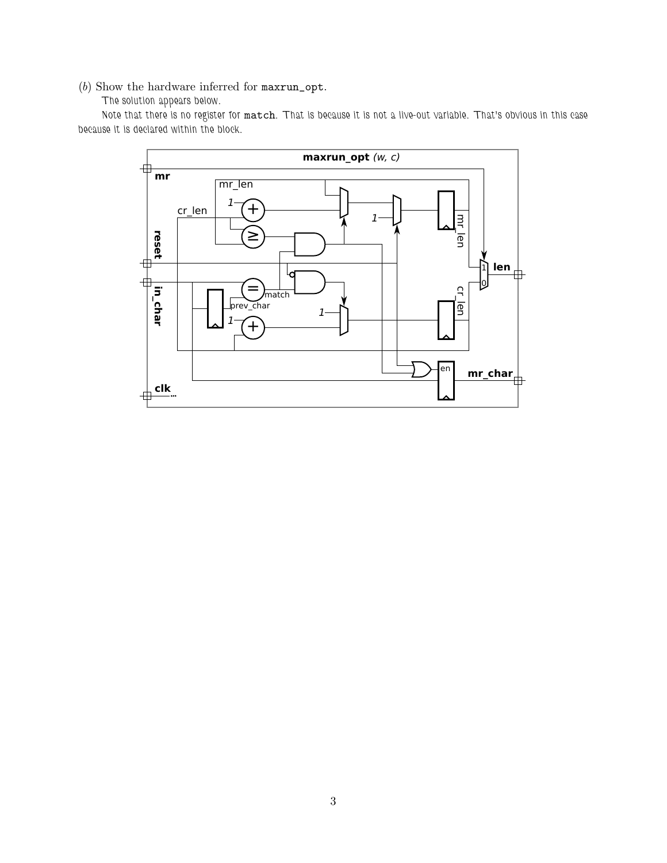(*b*) Show the hardware inferred for maxrun\_opt.

## The solution appears below.

Note that there is no register for match. That is because it is not a live-out variable. That's obvious in this case because it is declared within the block.

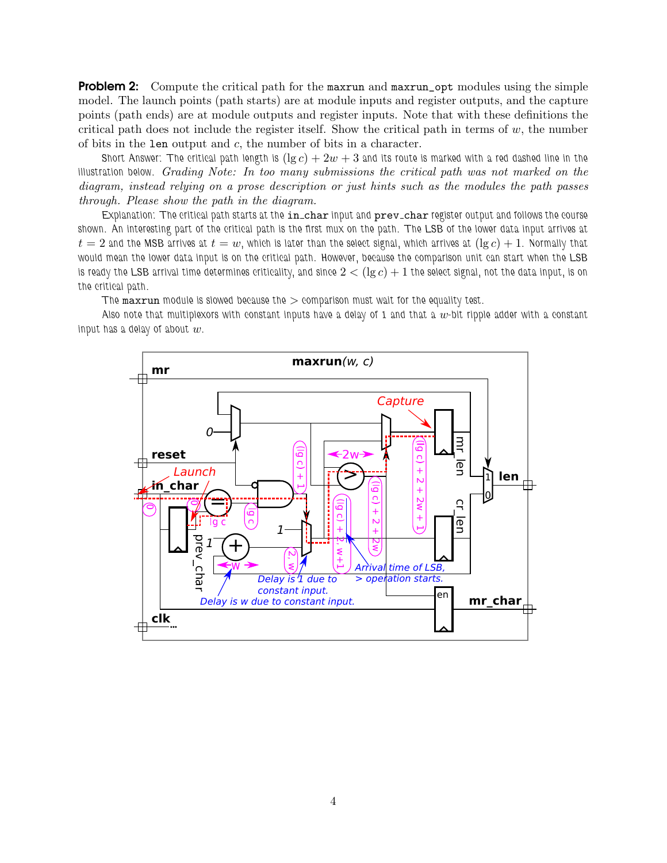**Problem 2:** Compute the critical path for the maxrun and maxrun\_opt modules using the simple model. The launch points (path starts) are at module inputs and register outputs, and the capture points (path ends) are at module outputs and register inputs. Note that with these definitions the critical path does not include the register itself. Show the critical path in terms of  $w$ , the number of bits in the len output and  $c$ , the number of bits in a character.

Short Answer: The critical path length is  $(\lg c) + 2w + 3$  and its route is marked with a red dashed line in the illustration below. *Grading Note: In too many submissions the critical path was not marked on the diagram, instead relying on a prose description or just hints such as the modules the path passes through. Please show the path in the diagram.*

Explanation: The critical path starts at the in\_char input and prev\_char register output and follows the course shown. An interesting part of the critical path is the first mux on the path. The LSB of the lower data input arrives at  $t = 2$  and the MSB arrives at  $t = w$ , which is later than the select signal, which arrives at  $(\lg c) + 1$ . Normally that would mean the lower data input is on the critical path. However, because the comparison unit can start when the LSB is ready the LSB arrival time determines criticality, and since  $2 < (\lg c) + 1$  the select signal, not the data input, is on the critical path.

The maxrun module is slowed because the  $>$  comparison must wait for the equality test.

Also note that multiplexors with constant inputs have a delay of 1 and that a  $w$ -bit ripple adder with a constant input has a delay of about  $w$ .